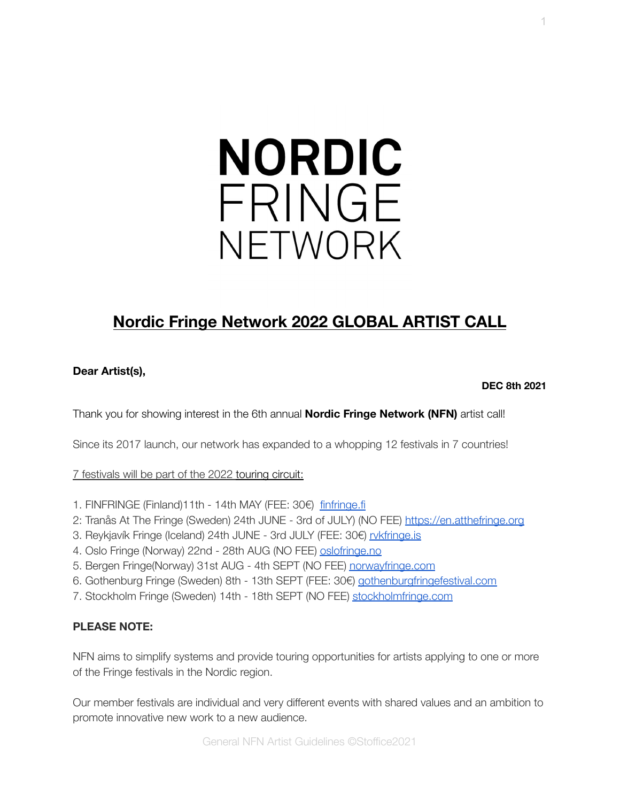# **NORDIC** FRINGE NFTWORK

# **Nordic Fringe Network 2022 GLOBAL ARTIST CALL**

#### **Dear Artist(s),**

**DEC 8th 2021**

Thank you for showing interest in the 6th annual **Nordic Fringe Network (NFN)** artist call!

Since its 2017 launch, our network has expanded to a whopping 12 festivals in 7 countries!

7 festivals will be part of the 2022 touring circuit:

- 1. FINFRINGE (Finland)11th 14th MAY (FEE: 30€) [finfringe.fi](http://www.finfringe.fi)
- 2: Tranås At The Fringe (Sweden) 24th JUNE 3rd of JULY) (NO FEE) <https://en.atthefringe.org>
- 3. Reykjavík Fringe (Iceland) 24th JUNE 3rd JULY (FEE: 30€) [rvkfringe.is](http://www.rvkfringe.is)
- 4. Oslo Fringe (Norway) 22nd 28th AUG (NO FEE) [oslofringe.no](https://www.oslofringe.no/)
- 5. Bergen Fringe(Norway) 31st AUG 4th SEPT (NO FEE) [norwayfringe.com](http://www.norwayfringe.com)
- 6. Gothenburg Fringe (Sweden) 8th 13th SEPT (FEE: 30€) [gothenburgfringefestival.com](http://www.gothenburgfringefestival.com)
- 7. Stockholm Fringe (Sweden) 14th 18th SEPT (NO FEE) [stockholmfringe.com](http://www.stockholmfringe.com)

#### **PLEASE NOTE:**

NFN aims to simplify systems and provide touring opportunities for artists applying to one or more of the Fringe festivals in the Nordic region.

Our member festivals are individual and very different events with shared values and an ambition to promote innovative new work to a new audience.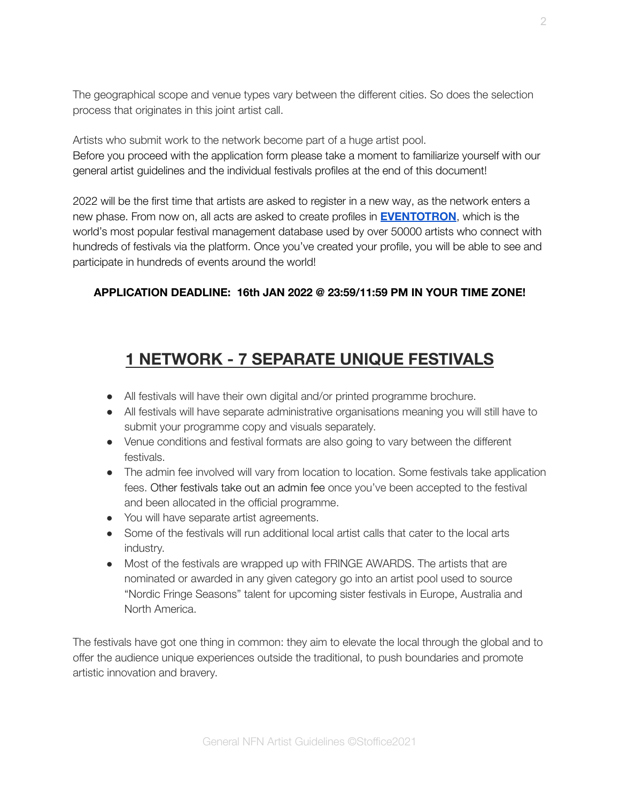The geographical scope and venue types vary between the different cities. So does the selection process that originates in this joint artist call.

Artists who submit work to the network become part of a huge artist pool. Before you proceed with the application form please take a moment to familiarize yourself with our general artist guidelines and the individual festivals profiles at the end of this document!

2022 will be the first time that artists are asked to register in a new way, as the network enters a new phase. From now on, all acts are asked to create profiles in **[EVENTOTRON](https://www.eventotron.com/hello/)**, which is the world's most popular festival management database used by over 50000 artists who connect with hundreds of festivals via the platform. Once you've created your profile, you will be able to see and participate in hundreds of events around the world!

#### **APPLICATION DEADLINE: 16th JAN 2022 @ 23:59/11:59 PM IN YOUR TIME ZONE!**

## **1 NETWORK - 7 SEPARATE UNIQUE FESTIVALS**

- All festivals will have their own digital and/or printed programme brochure.
- All festivals will have separate administrative organisations meaning you will still have to submit your programme copy and visuals separately.
- Venue conditions and festival formats are also going to vary between the different festivals.
- The admin fee involved will vary from location to location. Some festivals take application fees. Other festivals take out an admin fee once you've been accepted to the festival and been allocated in the official programme.
- You will have separate artist agreements.
- Some of the festivals will run additional local artist calls that cater to the local arts industry.
- Most of the festivals are wrapped up with FRINGE AWARDS. The artists that are nominated or awarded in any given category go into an artist pool used to source "Nordic Fringe Seasons" talent for upcoming sister festivals in Europe, Australia and North America.

The festivals have got one thing in common: they aim to elevate the local through the global and to offer the audience unique experiences outside the traditional, to push boundaries and promote artistic innovation and bravery.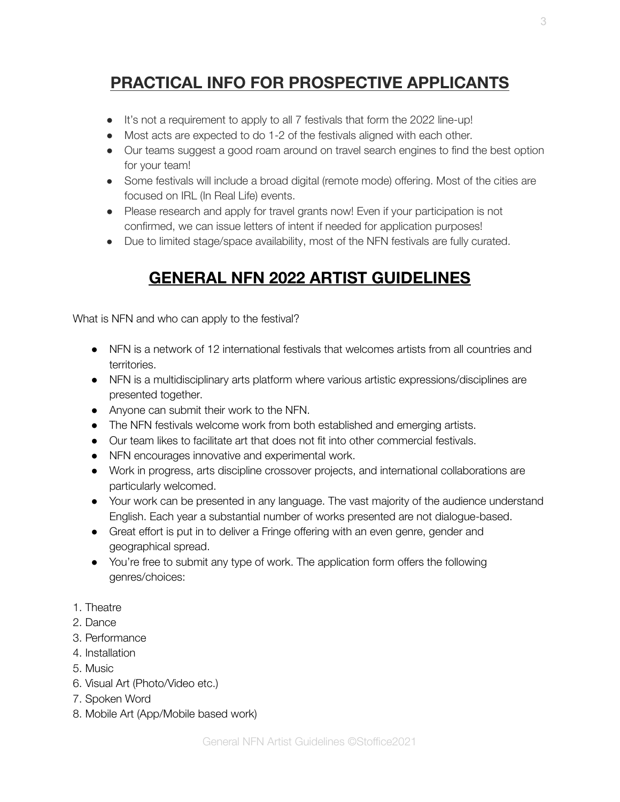# **PRACTICAL INFO FOR PROSPECTIVE APPLICANTS**

- It's not a requirement to apply to all 7 festivals that form the 2022 line-up!
- Most acts are expected to do 1-2 of the festivals aligned with each other.
- Our teams suggest a good roam around on travel search engines to find the best option for your team!
- Some festivals will include a broad digital (remote mode) offering. Most of the cities are focused on IRL (In Real Life) events.
- Please research and apply for travel grants now! Even if your participation is not confirmed, we can issue letters of intent if needed for application purposes!
- Due to limited stage/space availability, most of the NFN festivals are fully curated.

# **GENERAL NFN 2022 ARTIST GUIDELINES**

What is NFN and who can apply to the festival?

- NFN is a network of 12 international festivals that welcomes artists from all countries and territories.
- NFN is a multidisciplinary arts platform where various artistic expressions/disciplines are presented together.
- Anyone can submit their work to the NFN.
- The NFN festivals welcome work from both established and emerging artists.
- Our team likes to facilitate art that does not fit into other commercial festivals.
- NFN encourages innovative and experimental work.
- Work in progress, arts discipline crossover projects, and international collaborations are particularly welcomed.
- Your work can be presented in any language. The vast majority of the audience understand English. Each year a substantial number of works presented are not dialogue-based.
- Great effort is put in to deliver a Fringe offering with an even genre, gender and geographical spread.
- You're free to submit any type of work. The application form offers the following genres/choices:
- 1. Theatre
- 2. Dance
- 3. Performance
- 4. Installation
- 5. Music
- 6. Visual Art (Photo/Video etc.)
- 7. Spoken Word
- 8. Mobile Art (App/Mobile based work)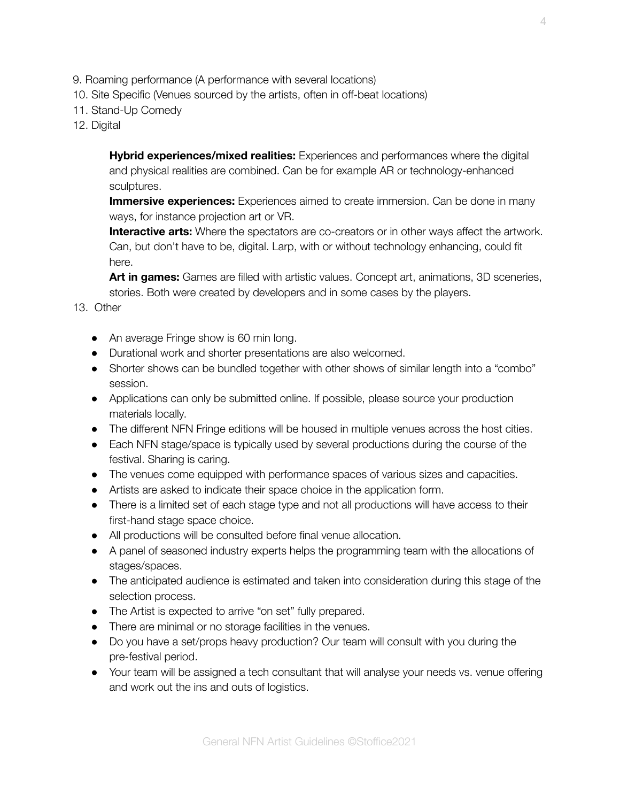- 9. Roaming performance (A performance with several locations)
- 10. Site Specific (Venues sourced by the artists, often in off-beat locations)
- 11. Stand-Up Comedy
- 12. Digital

**Hybrid experiences/mixed realities:** Experiences and performances where the digital and physical realities are combined. Can be for example AR or technology-enhanced sculptures.

**Immersive experiences:** Experiences aimed to create immersion. Can be done in many ways, for instance projection art or VR.

**Interactive arts:** Where the spectators are co-creators or in other ways affect the artwork. Can, but don't have to be, digital. Larp, with or without technology enhancing, could fit here.

**Art in games:** Games are filled with artistic values. Concept art, animations, 3D sceneries, stories. Both were created by developers and in some cases by the players.

#### 13. Other

- An average Fringe show is 60 min long.
- Durational work and shorter presentations are also welcomed.
- Shorter shows can be bundled together with other shows of similar length into a "combo" session.
- Applications can only be submitted online. If possible, please source your production materials locally.
- The different NFN Fringe editions will be housed in multiple venues across the host cities.
- Each NFN stage/space is typically used by several productions during the course of the festival. Sharing is caring.
- The venues come equipped with performance spaces of various sizes and capacities.
- Artists are asked to indicate their space choice in the application form.
- There is a limited set of each stage type and not all productions will have access to their first-hand stage space choice.
- All productions will be consulted before final venue allocation.
- A panel of seasoned industry experts helps the programming team with the allocations of stages/spaces.
- The anticipated audience is estimated and taken into consideration during this stage of the selection process.
- The Artist is expected to arrive "on set" fully prepared.
- There are minimal or no storage facilities in the venues.
- Do you have a set/props heavy production? Our team will consult with you during the pre-festival period.
- Your team will be assigned a tech consultant that will analyse your needs vs. venue offering and work out the ins and outs of logistics.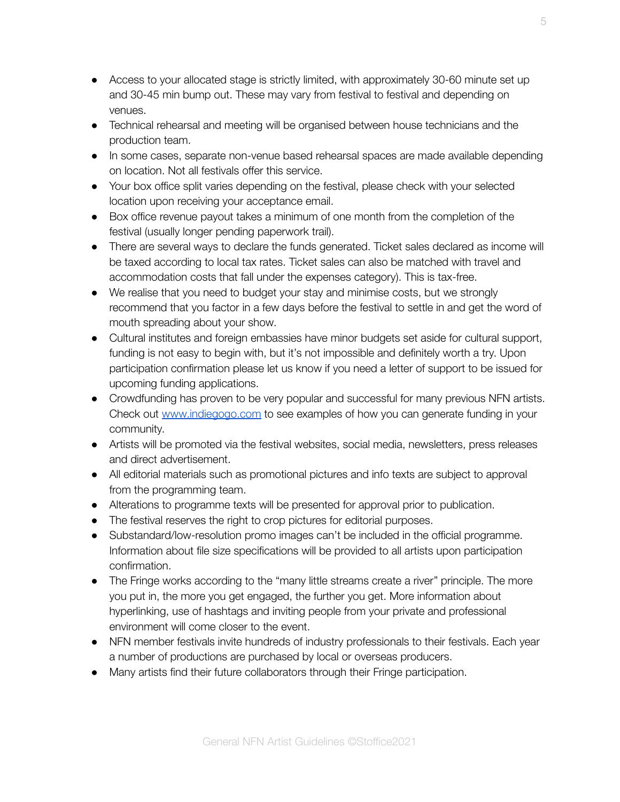- Access to your allocated stage is strictly limited, with approximately 30-60 minute set up and 30-45 min bump out. These may vary from festival to festival and depending on venues.
- Technical rehearsal and meeting will be organised between house technicians and the production team.
- In some cases, separate non-venue based rehearsal spaces are made available depending on location. Not all festivals offer this service.
- Your box office split varies depending on the festival, please check with your selected location upon receiving your acceptance email.
- Box office revenue payout takes a minimum of one month from the completion of the festival (usually longer pending paperwork trail).
- There are several ways to declare the funds generated. Ticket sales declared as income will be taxed according to local tax rates. Ticket sales can also be matched with travel and accommodation costs that fall under the expenses category). This is tax-free.
- We realise that you need to budget your stay and minimise costs, but we strongly recommend that you factor in a few days before the festival to settle in and get the word of mouth spreading about your show.
- Cultural institutes and foreign embassies have minor budgets set aside for cultural support, funding is not easy to begin with, but it's not impossible and definitely worth a try. Upon participation confirmation please let us know if you need a letter of support to be issued for upcoming funding applications.
- Crowdfunding has proven to be very popular and successful for many previous NFN artists. Check out [www.indiegogo.com](http://www.indiegogo.com) to see examples of how you can generate funding in your community.
- Artists will be promoted via the festival websites, social media, newsletters, press releases and direct advertisement.
- All editorial materials such as promotional pictures and info texts are subject to approval from the programming team.
- Alterations to programme texts will be presented for approval prior to publication.
- The festival reserves the right to crop pictures for editorial purposes.
- Substandard/low-resolution promo images can't be included in the official programme. Information about file size specifications will be provided to all artists upon participation confirmation.
- The Fringe works according to the "many little streams create a river" principle. The more you put in, the more you get engaged, the further you get. More information about hyperlinking, use of hashtags and inviting people from your private and professional environment will come closer to the event.
- NFN member festivals invite hundreds of industry professionals to their festivals. Each year a number of productions are purchased by local or overseas producers.
- Many artists find their future collaborators through their Fringe participation.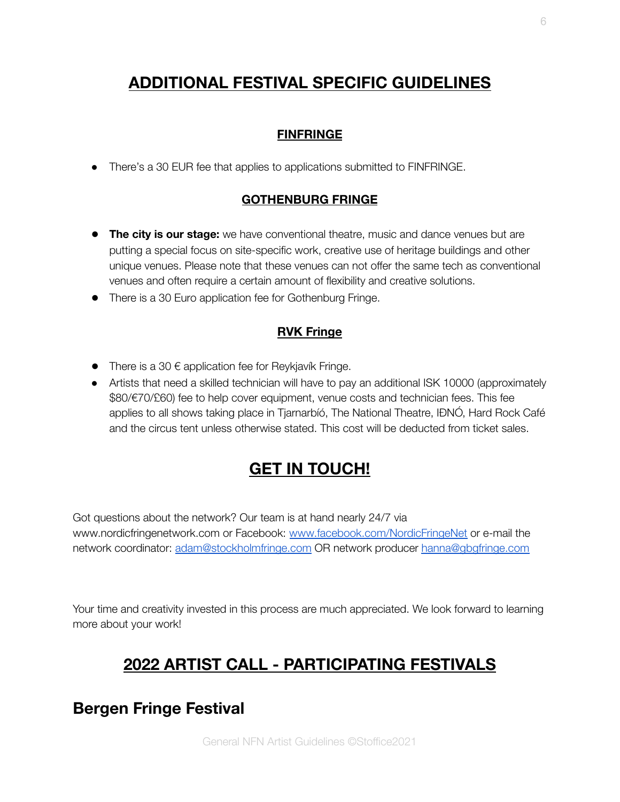# **ADDITIONAL FESTIVAL SPECIFIC GUIDELINES**

#### **FINFRINGE**

● There's a 30 EUR fee that applies to applications submitted to FINFRINGE.

#### **GOTHENBURG FRINGE**

- **The city is our stage:** we have conventional theatre, music and dance venues but are putting a special focus on site-specific work, creative use of heritage buildings and other unique venues. Please note that these venues can not offer the same tech as conventional venues and often require a certain amount of flexibility and creative solutions.
- There is a 30 Euro application fee for Gothenburg Fringe.

#### **RVK Fringe**

- $\bullet$  There is a 30  $\epsilon$  application fee for Reykjavík Fringe.
- Artists that need a skilled technician will have to pay an additional ISK 10000 (approximately \$80/€70/£60) fee to help cover equipment, venue costs and technician fees. This fee applies to all shows taking place in Tjarnarbíó, The National Theatre, IÐNÓ, Hard Rock Café and the circus tent unless otherwise stated. This cost will be deducted from ticket sales.

# **GET IN TOUCH!**

Got questions about the network? Our team is at hand nearly 24/7 via www.nordicfringenetwork.com or Facebook: [www.facebook.com/NordicFringeNet](http://www.facebook.com/NordicFringeNet) or e-mail the network coordinator: [adam@stockholmfringe.com](mailto:adam@stockholmfringe.com) OR network producer [hanna@gbgfringe.com](mailto:hanna@gbgfringe.com)

Your time and creativity invested in this process are much appreciated. We look forward to learning more about your work!

# **2022 ARTIST CALL - PARTICIPATING FESTIVALS**

## **Bergen Fringe Festival**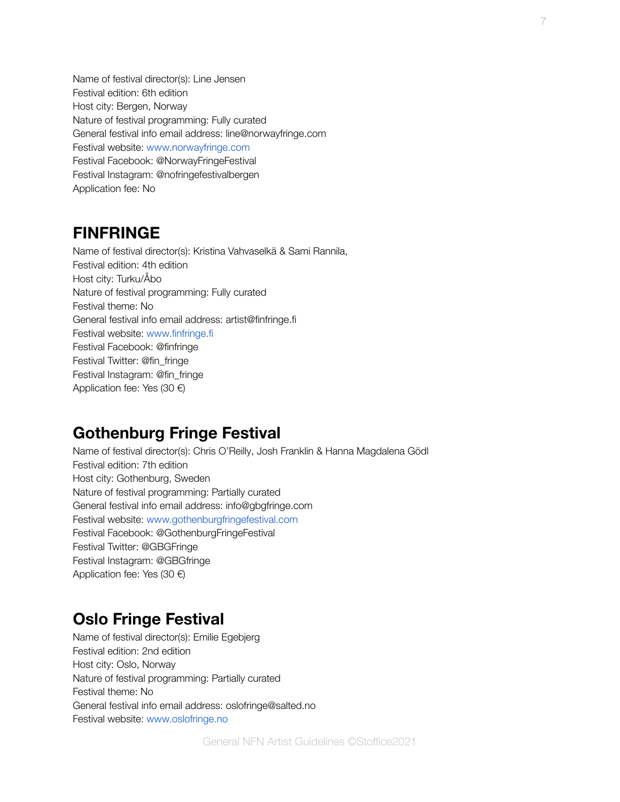Name of festival director(s): Line Jensen Festival edition: 6th edition Host city: Bergen, Norway Nature of festival programming: Fully curated General festival info email address: line@norwayfringe.com Festival website: www.norwayfringe.com Festival Facebook: @NorwayFringeFestival Festival Instagram: @nofringefestivalbergen Application fee: No

## **FINFRINGE**

Name of festival director(s): Kristina Vahvaselkä & Sami Rannila, Festival edition: 4th edition Host city: Turku/Åbo Nature of festival programming: Fully curated Festival theme: No General festival info email address: artist@finfringe.fi Festival website: www.finfringe.fi Festival Facebook: @finfringe Festival Twitter: @fin\_fringe Festival Instagram: @fin\_fringe Application fee: Yes (30 €)

## **Gothenburg Fringe Festival**

Name of festival director(s): Chris O'Reilly, Josh Franklin & Hanna Magdalena Gödl Festival edition: 7th edition Host city: Gothenburg, Sweden Nature of festival programming: Partially curated General festival info email address: info@gbgfringe.com Festival website: www.gothenburgfringefestival.com Festival Facebook: @GothenburgFringeFestival Festival Twitter: @GBGFringe Festival Instagram: @GBGfringe Application fee: Yes (30 €)

# **Oslo Fringe Festival**

Name of festival director(s): Emilie Egebjerg Festival edition: 2nd edition Host city: Oslo, Norway Nature of festival programming: Partially curated Festival theme: No General festival info email address: oslofringe@salted.no Festival website: www.oslofringe.no

7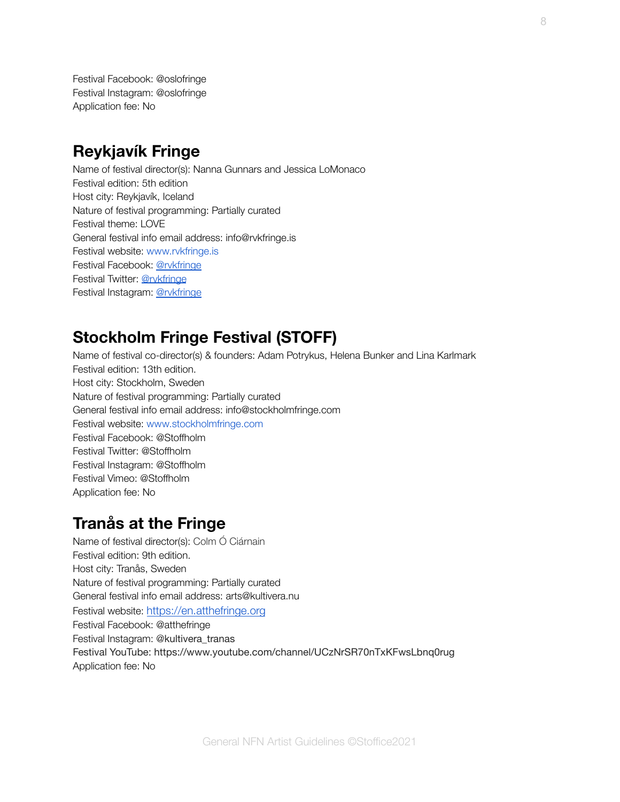Festival Facebook: @oslofringe Festival Instagram: @oslofringe Application fee: No

## **Reykjavík Fringe**

Name of festival director(s): Nanna Gunnars and Jessica LoMonaco Festival edition: 5th edition Host city: Reykjavík, Iceland Nature of festival programming: Partially curated Festival theme: LOVE General festival info email address: info@rvkfringe.is Festival website: www.rvkfringe.is Festival Facebook: [@rvkfringe](https://www.facebook.com/rvkfringe/) Festival Twitter: [@rvkfringe](https://twitter.com/rvkfringe) Festival Instagram: [@rvkfringe](https://www.instagram.com/rvkfringe/)

## **Stockholm Fringe Festival (STOFF)**

Name of festival co-director(s) & founders: Adam Potrykus, Helena Bunker and Lina Karlmark Festival edition: 13th edition. Host city: Stockholm, Sweden Nature of festival programming: Partially curated General festival info email address: info@stockholmfringe.com Festival website: www.stockholmfringe.com Festival Facebook: @Stoffholm Festival Twitter: @Stoffholm Festival Instagram: @Stoffholm Festival Vimeo: @Stoffholm Application fee: No

## **Tranås at the Fringe**

Name of festival director(s): Colm Ó Ciárnain Festival edition: 9th edition. Host city: Tranås, Sweden Nature of festival programming: Partially curated General festival info email address: arts@kultivera.nu Festival website: <https://en.atthefringe.org> Festival Facebook: @atthefringe Festival Instagram: @kultivera\_tranas Festival YouTube: https://www.youtube.com/channel/UCzNrSR70nTxKFwsLbnq0rug Application fee: No